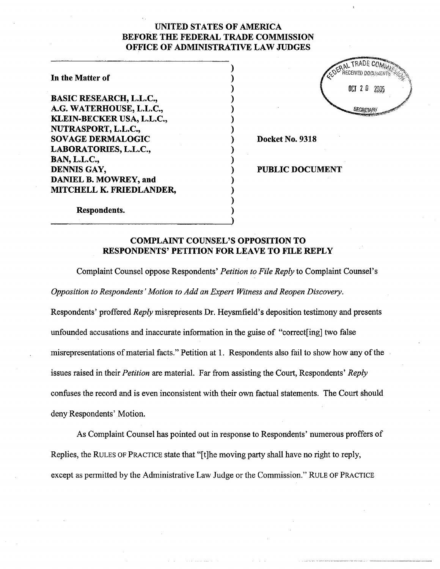## UNITED STATES OF AMRICA BEFORE THE FEDERAL TRADE COMMISSION OFFICE OF ADMINISTRATIVE LAW JUDGES

) ) ) ) ) ) ) ) ) ) ) ) ) ) ) )

## In the Matter of

BASIC RESEARCH, L.L.C., A.G. WATERHOUSE, L.L.C., KLEIN~BECKER USA, L.L.C., NUTRASPORT, L.L.C., SOVAGE DERMALOGIC LABORATORIES, L.L.C., BAN, L.L.C., DENNIS GAY, DANIEL B. MOWREY, and MITCHELL K. FRIEDLANDER,



Docket No. 9318

PUBLIC DOCUMENT

Respondents.

## COMPLAINT COUNSEL'S OPPOSITION TO RESPONDENTS' PETITION FOR LEAVE TO FILE REPLY

Complaint Counsel oppose Respondents' Petition to File Reply to Complaint Counsel's

Opposition to Respondents' Motion to Add an Expert Witness and Reopen Discovery.

Respondents' proffered *Reply* misrepresents Dr. Heysmfield's deposition testimony and presents unfounded accusations and inaccurate information in the guise of "correct [ing] two false misrepresentations of material facts." Petition at 1. Respondents also fail to show how any of the issues raised in their *Petition* are material. Far from assisting the Court, Respondents' Reply confuses the record and is even inconsistent with their own factual statements. The Cour should deny Respondents' Motion.

As Complaint Counsel has pointed out in response to Respondents' numerous proffers of Replies, the RULES OF PRACTICE state that "[t]he moving party shall have no right to reply, except as permitted by the Administrative Law Judge or the Commission." RULE OF PRACTICE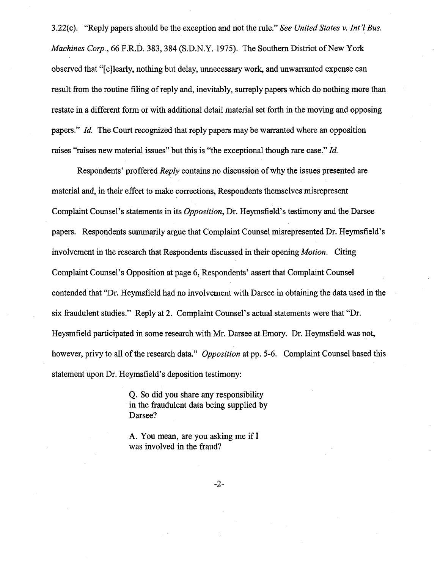3.22(c). "Reply papers should be the exception and not the rule." See United States v. Int'l Bus. Machines Corp., 66 F.R.D. 383, 384 (S.D.N.Y. 1975). The Southern District of New York observed that "[c]learly, nothing but delay, unnecessary work, and unwarranted expense can result from the routine fiing of reply and, inevitably, surreply papers which do nothing more than restate in a different form or with additional detail material set forth in the moving and opposing papers."  $Id$ . The Court recognized that reply papers may be warranted where an opposition raises "raises new material issues" but this is "the exceptional though rare case."  $Id$ .

Respondents' proffered Reply contains no discussion of why the issues presented are material and, in their effort to make corrections; Respondents themselves misrepresent Complaint Counsel's statements in its Opposition, Dr. Heymsfield's testimony and the Darsee papers. Respondents summarily argue that Complaint Counsel misrepresented Dr. Heymsfield's involvement in the research that Respondents discussed in their opening Motion. Citing Complaint Counsel's Opposition at page 6, Respondents' assert that Complaint Counsel contended that "Dr. Heymsfield had no involvement with Darsee in obtaining the data used in the six fraudulent studies." Reply at 2. Complaint Counsel's actual statements were that "Dr. Heysmfield paricipated in some research with Mr. Darsee at Emory. Dr. Heymsfield was not, however, privy to all of the research data." Opposition at pp. 5-6. Complaint Counsel based this statement upon Dr. Heymsfield's deposition testimony:

> Q. So did you share any responsibilty in the fraudulent data being supplied by Darsee?

A. You mean, are you asking me if I was involved in the fraud?

-2-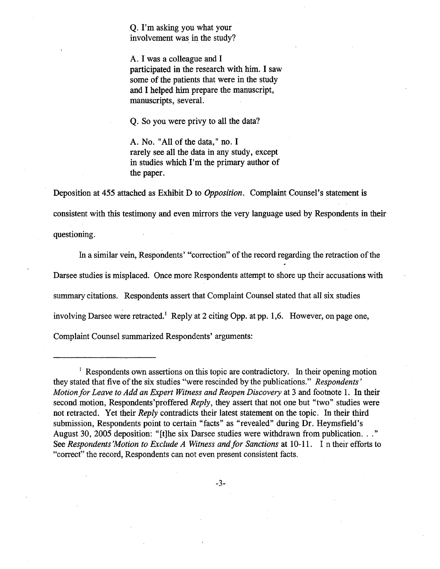Q. I'm asking you what your involvement was in the study?

A. I was a colleague and I participated in the research with him. I saw some of the patients that were in the study and I helped him prepare the manuscript, manuscripts, severaL.

Q. So you were privy to all the data?

A. No. "All of the data," no. I rarely see all the data in any study, except in studies which I'm the primary author of the paper.

Deposition at 455 attached as Exhibit D to *Opposition*. Complaint Counsel's statement is consistent with this testimony and even mirrors the very language used by Respondents in their questioning.

In a similar vein, Respondents' "correction" of the record regarding the retraction of the Darsee studies is misplaced. Once more Respondents attempt to shore up their accusations with summary citations. Respondents assert that Complaint Counsel stated that all six studies involving Darsee were retracted.<sup>1</sup> Reply at 2 citing Opp. at pp. 1,6. However, on page one, Complaint Counsel summarized Respondents' arguments:

 $\frac{1}{1}$  Respondents own assertions on this topic are contradictory. In their opening motion they stated that five of the six studies "were rescinded by the publications." Respondents' Motion for Leave to Add an Expert Witness and Reopen Discovery at 3 and footnote 1. In their second motion, Respondents' proffered Reply, they assert that not one but "two" studies were not retracted. Yet their *Reply* contradicts their latest statement on the topic. In their third submission, Respondents point to certain "facts" as "revealed" during Dr. Heymsfield's August 30,2005 deposition: "(t)he six Darsee studies were withdrawn from publication. . ." See Respondents 'Motion to Exclude A Witness and for Sanctions at 10-11. In their efforts to "correct" the record, Respondents can not even present consistent facts.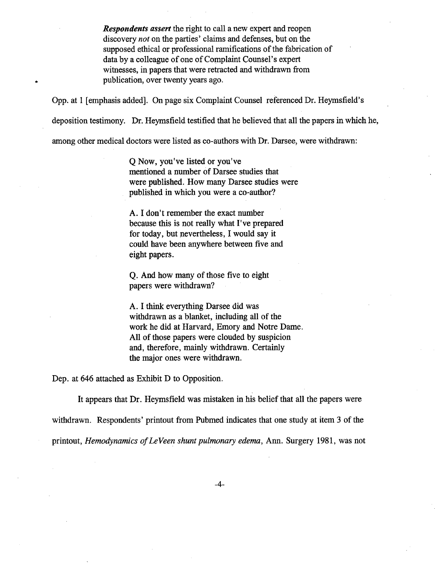**Respondents assert** the right to call a new expert and reopen discovery not on the paries' claims and defenses, but on the supposed ethical or professional ramifications of the fabrication of data by a colleague of one of Complaint Counsel's expert witnesses, in papers that were retracted and withdrawn from publication, over twenty years ago.

Opp. at 1 [emphasis added]. On page six Complaint Counsel referenced Dr. Heymsfield's

deposition testimony. Dr. Heymsfield testified that he believed that all the papers in which he,

among other medical doctors were listed as co-authors with Dr. Darsee, were withdrawn:

Q Now, you've listed or you've mentioned a number of Darsee studies that were published. How many Darsee studies were published in which you were a co-author?

A. I don't remember the exact number because this is not really what I've prepared for today, but nevertheless, I would say it could have been anywhere between five and eight papers.

Q. And how many of those five to eight papers were withdrawn?

A. I think everything Darsee did was withdrawn as a blanket, including all of the work he did at Harvard, Emory and Notre Dame. All of those papers were clouded by suspicion and, therefore, mainly withdrawn. Certainly the major ones were withdrawn.

Dep. at 646 attached as Exhibit D to Opposition.

..

It appears that Dr. Heymsfield was mistaken in his belief that all the papers were withdrawn. Respondents' printout from Pubmed indicates that one study at item 3 of the printout, Hemodynamics of LeVeen shunt pulmonary edema, Ann. Surgery 1981, was not

-4-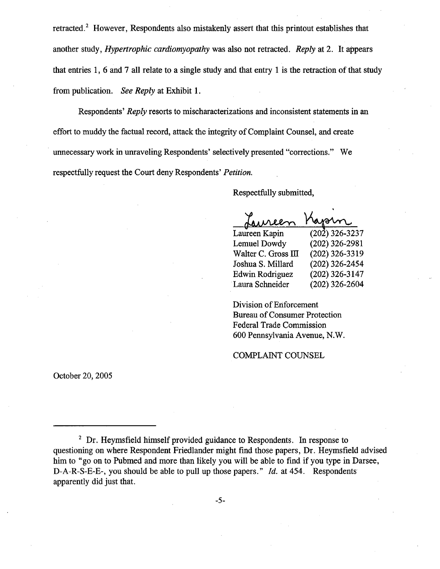retracted.<sup>2</sup> However, Respondents also mistakenly assert that this printout establishes that another study, *Hypertrophic cardiomyopathy* was also not retracted. *Reply* at 2. It appears that entries 1, 6 and 7 all relate to a single study and that entry 1 is the retraction of that study from publication. See Reply at Exhibit 1.

Respondents' Reply resorts to mischaracterizations and inconsistent statements in an effort to muddy the factual record, attack the integrty of Complaint Counsel, and create unnecessary work in unraveling Respondents' selectively presented "corrections." We respectfully request the Court deny Respondents' Petition.

Respectfully submitted,

. spectfully submit<br>fauncen<br>ireen Kapin

| Laureen Kapin       | $(202)$ 326-3237 |
|---------------------|------------------|
| Lemuel Dowdy        | $(202)$ 326-2981 |
| Walter C. Gross III | (202) 326-3319   |
| Joshua S. Millard   | $(202)$ 326-2454 |
| Edwin Rodriguez     | $(202)$ 326-3147 |
| Laura Schneider     | $(202)$ 326-2604 |

Division of Enforcement Bureau of Consumer Protection Federal Trade Commission 600 Pennsylvania Avenue, N.W.

COMPLAIT COUNSEL

October 20, 2005

<sup>&</sup>lt;sup>2</sup> Dr. Heymsfield himself provided guidance to Respondents. In response to questioning on where Respondent Friedlander might find those papers, Dr. Heymsfield advised him to "go on to Pubmed and more than likely you will be able to find if you type in Darsee, D-A-R-S-E-E-, you should be able to pull up those papers."  $Id.$  at 454. Respondents apparently did just that.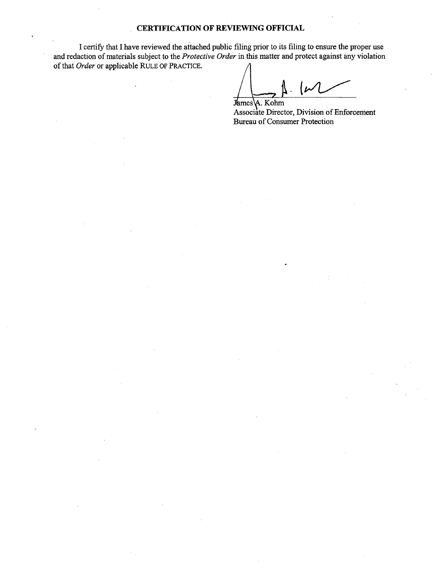## CERTIFICATION OF REVIEWING OFFICIAL

I certify that I have reviewed the attached public filing prior to its fiing to ensure the proper use and redaction of materials subject to the Protective Order in this matter and protect against any violation of that Order or applicable RULE OF PRACTICE.

otect against a

James A. Kohm Associate Director, Division of Enforcement Bureau of Consumer Protection